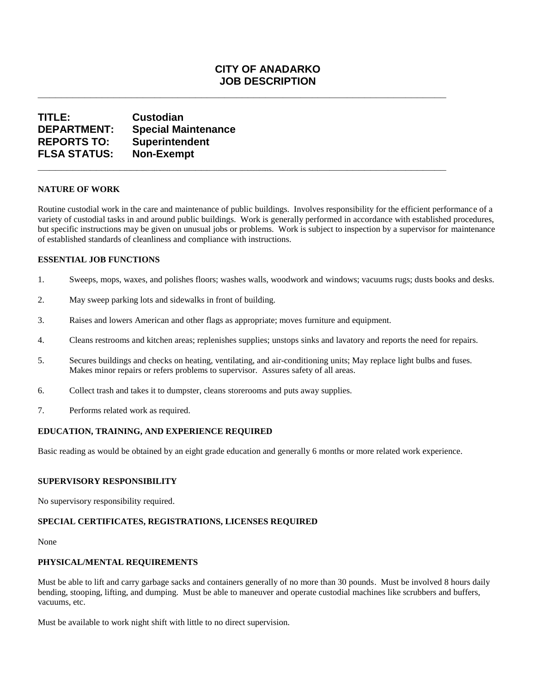## **CITY OF ANADARKO JOB DESCRIPTION**

**\_\_\_\_\_\_\_\_\_\_\_\_\_\_\_\_\_\_\_\_\_\_\_\_\_\_\_\_\_\_\_\_\_\_\_\_\_\_\_\_\_\_\_\_\_\_\_\_\_\_\_\_\_\_\_\_\_\_\_\_\_\_\_\_\_\_\_\_\_\_** 

**\_\_\_\_\_\_\_\_\_\_\_\_\_\_\_\_\_\_\_\_\_\_\_\_\_\_\_\_\_\_\_\_\_\_\_\_\_\_\_\_\_\_\_\_\_\_\_\_\_\_\_\_\_\_\_\_\_\_\_\_\_\_\_\_\_\_\_\_\_\_**

# **TITLE: Custodian DEPARTMENT: Special Maintenance REPORTS TO: Superintendent FLSA STATUS: Non-Exempt**

### **NATURE OF WORK**

Routine custodial work in the care and maintenance of public buildings. Involves responsibility for the efficient performance of a variety of custodial tasks in and around public buildings. Work is generally performed in accordance with established procedures, but specific instructions may be given on unusual jobs or problems. Work is subject to inspection by a supervisor for maintenance of established standards of cleanliness and compliance with instructions.

### **ESSENTIAL JOB FUNCTIONS**

- 1. Sweeps, mops, waxes, and polishes floors; washes walls, woodwork and windows; vacuums rugs; dusts books and desks.
- 2. May sweep parking lots and sidewalks in front of building.
- 3. Raises and lowers American and other flags as appropriate; moves furniture and equipment.
- 4. Cleans restrooms and kitchen areas; replenishes supplies; unstops sinks and lavatory and reports the need for repairs.
- 5. Secures buildings and checks on heating, ventilating, and air-conditioning units; May replace light bulbs and fuses. Makes minor repairs or refers problems to supervisor. Assures safety of all areas.
- 6. Collect trash and takes it to dumpster, cleans storerooms and puts away supplies.
- 7. Performs related work as required.

### **EDUCATION, TRAINING, AND EXPERIENCE REQUIRED**

Basic reading as would be obtained by an eight grade education and generally 6 months or more related work experience.

#### **SUPERVISORY RESPONSIBILITY**

No supervisory responsibility required.

### **SPECIAL CERTIFICATES, REGISTRATIONS, LICENSES REQUIRED**

None

### **PHYSICAL/MENTAL REQUIREMENTS**

Must be able to lift and carry garbage sacks and containers generally of no more than 30 pounds. Must be involved 8 hours daily bending, stooping, lifting, and dumping. Must be able to maneuver and operate custodial machines like scrubbers and buffers, vacuums, etc.

Must be available to work night shift with little to no direct supervision.